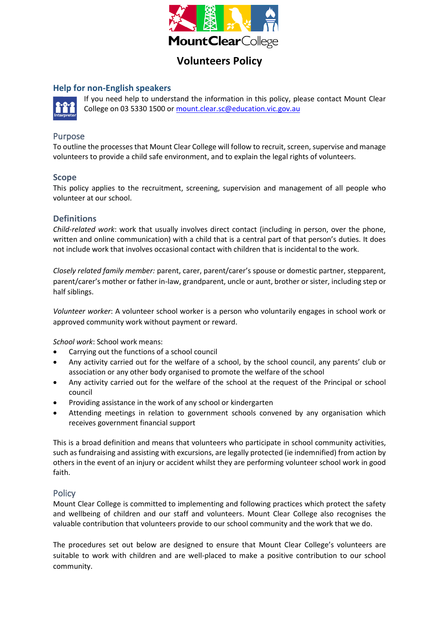

# **Help for non-English speakers**



If you need help to understand the information in this policy, please contact Mount Clear College on 03 5330 1500 o[r mount.clear.sc@education.vic.gov.au](mailto:mount.clear.sc@education.vic.gov.au)

# Purpose

To outline the processes that Mount Clear College will follow to recruit, screen, supervise and manage volunteers to provide a child safe environment, and to explain the legal rights of volunteers.

## **Scope**

This policy applies to the recruitment, screening, supervision and management of all people who volunteer at our school.

## **Definitions**

*Child-related work*: work that usually involves direct contact (including in person, over the phone, written and online communication) with a child that is a central part of that person's duties. It does not include work that involves occasional contact with children that is incidental to the work.

*Closely related family member:* parent, carer, parent/carer's spouse or domestic partner, stepparent, parent/carer's mother or father in-law, grandparent, uncle or aunt, brother or sister, including step or half siblings.

*Volunteer worker*: A volunteer school worker is a person who voluntarily engages in school work or approved community work without payment or reward.

*School work*: School work means:

- Carrying out the functions of a school council
- Any activity carried out for the welfare of a school, by the school council, any parents' club or association or any other body organised to promote the welfare of the school
- Any activity carried out for the welfare of the school at the request of the Principal or school council
- Providing assistance in the work of any school or kindergarten
- Attending meetings in relation to government schools convened by any organisation which receives government financial support

This is a broad definition and means that volunteers who participate in school community activities, such as fundraising and assisting with excursions, are legally protected (ie indemnified) from action by others in the event of an injury or accident whilst they are performing volunteer school work in good faith.

# **Policy**

Mount Clear College is committed to implementing and following practices which protect the safety and wellbeing of children and our staff and volunteers. Mount Clear College also recognises the valuable contribution that volunteers provide to our school community and the work that we do.

The procedures set out below are designed to ensure that Mount Clear College's volunteers are suitable to work with children and are well-placed to make a positive contribution to our school community.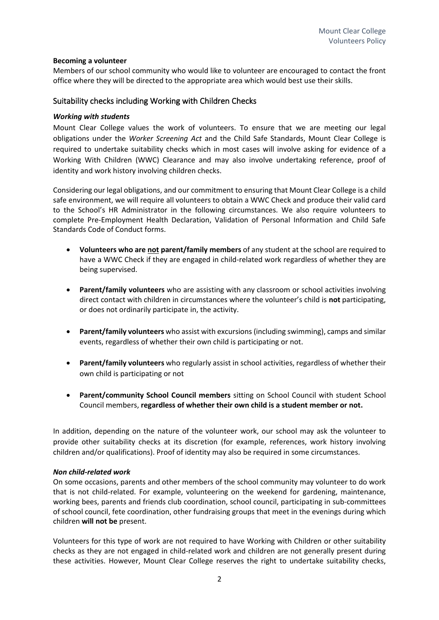#### **Becoming a volunteer**

Members of our school community who would like to volunteer are encouraged to contact the front office where they will be directed to the appropriate area which would best use their skills.

## Suitability checks including Working with Children Checks

#### *Working with students*

Mount Clear College values the work of volunteers. To ensure that we are meeting our legal obligations under the *Worker Screening Act* and the Child Safe Standards, Mount Clear College is required to undertake suitability checks which in most cases will involve asking for evidence of a Working With Children (WWC) Clearance and may also involve undertaking reference, proof of identity and work history involving children checks.

Considering our legal obligations, and our commitment to ensuring that Mount Clear College is a child safe environment, we will require all volunteers to obtain a WWC Check and produce their valid card to the School's HR Administrator in the following circumstances. We also require volunteers to complete Pre-Employment Health Declaration, Validation of Personal Information and Child Safe Standards Code of Conduct forms.

- **Volunteers who are not parent/family members** of any student at the school are required to have a WWC Check if they are engaged in child-related work regardless of whether they are being supervised.
- **Parent/family volunteers** who are assisting with any classroom or school activities involving direct contact with children in circumstances where the volunteer's child is **not** participating, or does not ordinarily participate in, the activity.
- **Parent/family volunteers** who assist with excursions (including swimming), camps and similar events, regardless of whether their own child is participating or not.
- **Parent/family volunteers** who regularly assist in school activities, regardless of whether their own child is participating or not
- **Parent/community School Council members** sitting on School Council with student School Council members, **regardless of whether their own child is a student member or not.**

In addition, depending on the nature of the volunteer work, our school may ask the volunteer to provide other suitability checks at its discretion (for example, references, work history involving children and/or qualifications). Proof of identity may also be required in some circumstances.

#### *Non child-related work*

On some occasions, parents and other members of the school community may volunteer to do work that is not child-related. For example, volunteering on the weekend for gardening, maintenance, working bees, parents and friends club coordination, school council, participating in sub-committees of school council, fete coordination, other fundraising groups that meet in the evenings during which children **will not be** present.

Volunteers for this type of work are not required to have Working with Children or other suitability checks as they are not engaged in child-related work and children are not generally present during these activities. However, Mount Clear College reserves the right to undertake suitability checks,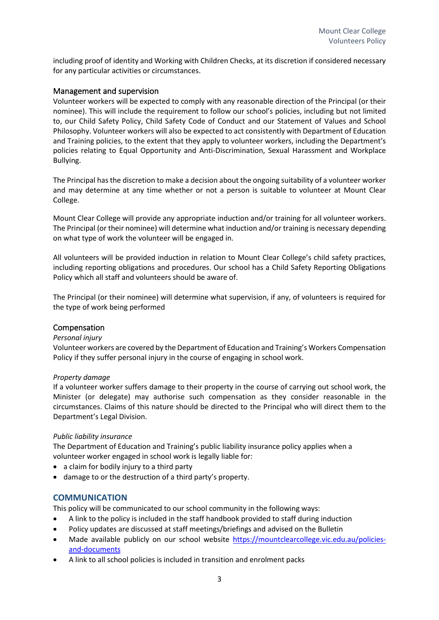including proof of identity and Working with Children Checks, at its discretion if considered necessary for any particular activities or circumstances.

## Management and supervision

Volunteer workers will be expected to comply with any reasonable direction of the Principal (or their nominee). This will include the requirement to follow our school's policies, including but not limited to, our Child Safety Policy, Child Safety Code of Conduct and our Statement of Values and School Philosophy. Volunteer workers will also be expected to act consistently with Department of Education and Training policies, to the extent that they apply to volunteer workers, including the Department's policies relating to Equal Opportunity and Anti-Discrimination, Sexual Harassment and Workplace Bullying.

The Principal has the discretion to make a decision about the ongoing suitability of a volunteer worker and may determine at any time whether or not a person is suitable to volunteer at Mount Clear College.

Mount Clear College will provide any appropriate induction and/or training for all volunteer workers. The Principal (or their nominee) will determine what induction and/or training is necessary depending on what type of work the volunteer will be engaged in.

All volunteers will be provided induction in relation to Mount Clear College's child safety practices, including reporting obligations and procedures. Our school has a Child Safety Reporting Obligations Policy which all staff and volunteers should be aware of.

The Principal (or their nominee) will determine what supervision, if any, of volunteers is required for the type of work being performed

# Compensation

#### *Personal injury*

Volunteer workers are covered by the Department of Education and Training's Workers Compensation Policy if they suffer personal injury in the course of engaging in school work.

#### *Property damage*

If a volunteer worker suffers damage to their property in the course of carrying out school work, the Minister (or delegate) may authorise such compensation as they consider reasonable in the circumstances. Claims of this nature should be directed to the Principal who will direct them to the Department's Legal Division.

#### *Public liability insurance*

The Department of Education and Training's public liability insurance policy applies when a volunteer worker engaged in school work is legally liable for:

- a claim for bodily injury to a third party
- damage to or the destruction of a third party's property.

# **COMMUNICATION**

This policy will be communicated to our school community in the following ways:

- A link to the policy is included in the staff handbook provided to staff during induction
- Policy updates are discussed at staff meetings/briefings and advised on the Bulletin
- Made available publicly on our school website [https://mountclearcollege.vic.edu.au/policies](https://mountclearcollege.vic.edu.au/policies-and-documents)[and-documents](https://mountclearcollege.vic.edu.au/policies-and-documents)
- A link to all school policies is included in transition and enrolment packs